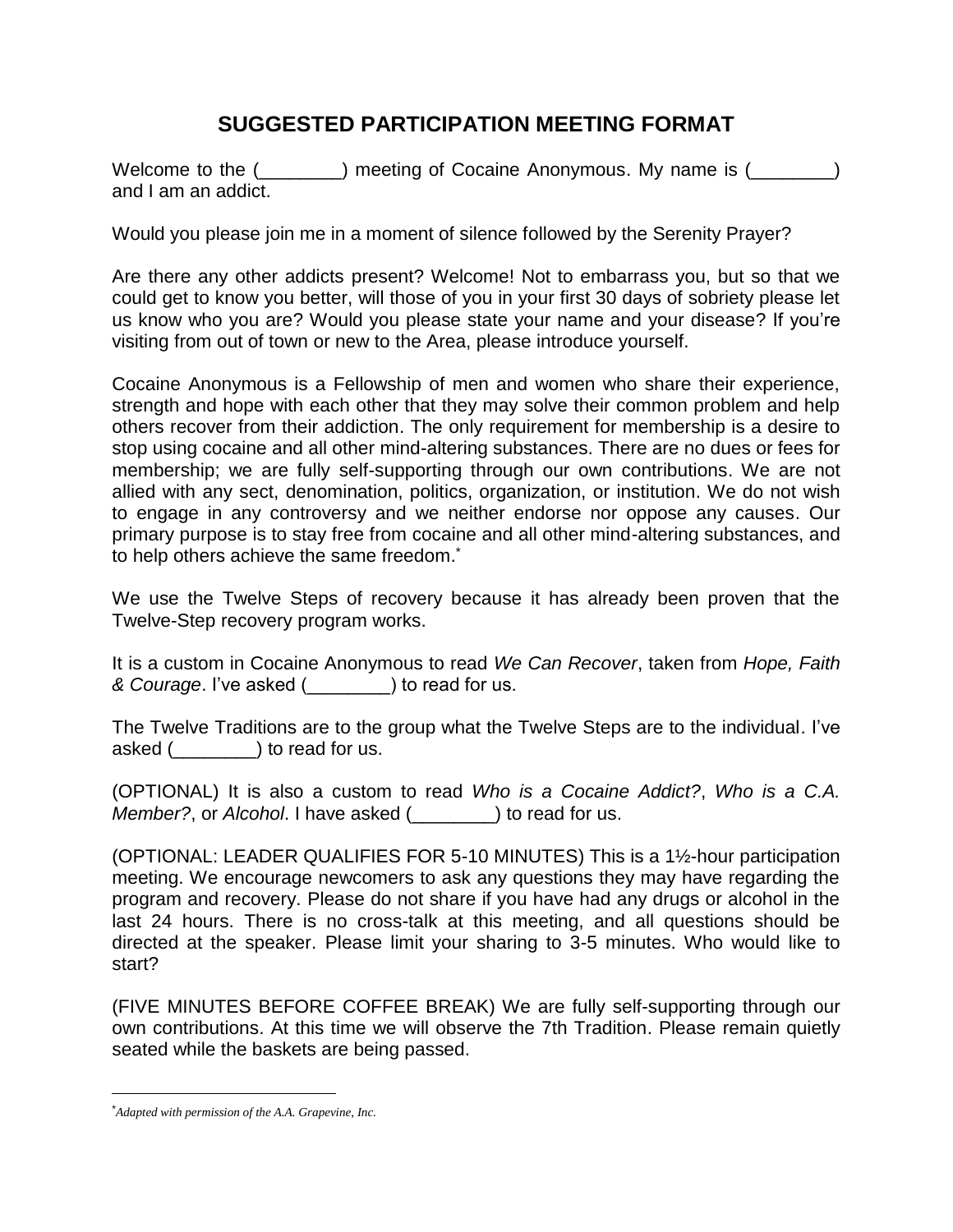## **SUGGESTED PARTICIPATION MEETING FORMAT**

Welcome to the (\_\_\_\_\_\_\_) meeting of Cocaine Anonymous. My name is (\_\_\_\_\_\_\_) and I am an addict.

Would you please join me in a moment of silence followed by the Serenity Prayer?

Are there any other addicts present? Welcome! Not to embarrass you, but so that we could get to know you better, will those of you in your first 30 days of sobriety please let us know who you are? Would you please state your name and your disease? If you're visiting from out of town or new to the Area, please introduce yourself.

Cocaine Anonymous is a Fellowship of men and women who share their experience, strength and hope with each other that they may solve their common problem and help others recover from their addiction. The only requirement for membership is a desire to stop using cocaine and all other mind-altering substances. There are no dues or fees for membership; we are fully self-supporting through our own contributions. We are not allied with any sect, denomination, politics, organization, or institution. We do not wish to engage in any controversy and we neither endorse nor oppose any causes. Our primary purpose is to stay free from cocaine and all other mind-altering substances, and to help others achieve the same freedom.<sup>\*</sup>

We use the Twelve Steps of recovery because it has already been proven that the Twelve-Step recovery program works.

It is a custom in Cocaine Anonymous to read *We Can Recover*, taken from *Hope, Faith & Courage*. I've asked (\_\_\_\_\_\_\_\_) to read for us.

The Twelve Traditions are to the group what the Twelve Steps are to the individual. I've asked (\_\_\_\_\_\_\_\_) to read for us.

(OPTIONAL) It is also a custom to read *Who is a Cocaine Addict?*, *Who is a C.A. Member?*, or *Alcohol*. I have asked (\_\_\_\_\_\_\_\_) to read for us.

(OPTIONAL: LEADER QUALIFIES FOR 5-10 MINUTES) This is a 1½-hour participation meeting. We encourage newcomers to ask any questions they may have regarding the program and recovery. Please do not share if you have had any drugs or alcohol in the last 24 hours. There is no cross-talk at this meeting, and all questions should be directed at the speaker. Please limit your sharing to 3-5 minutes. Who would like to start?

(FIVE MINUTES BEFORE COFFEE BREAK) We are fully self-supporting through our own contributions. At this time we will observe the 7th Tradition. Please remain quietly seated while the baskets are being passed.

 $\overline{a}$ 

<sup>\*</sup>*Adapted with permission of the A.A. Grapevine, Inc.*